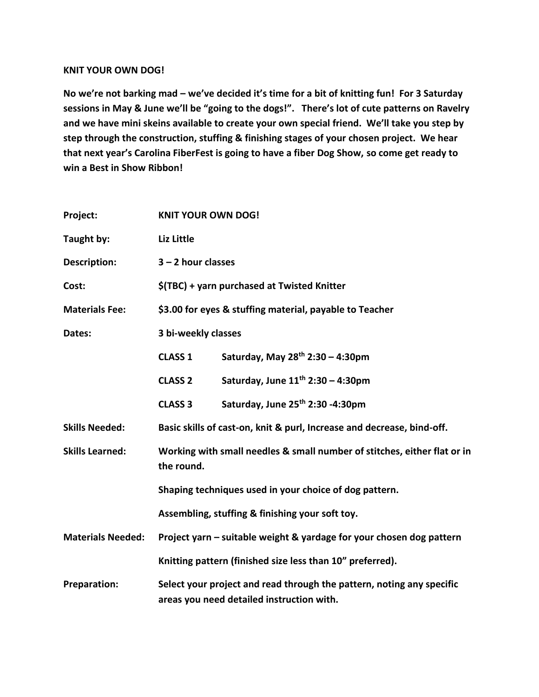## **KNIT YOUR OWN DOG!**

**No we're not barking mad – we've decided it's time for a bit of knitting fun! For 3 Saturday sessions in May & June we'll be "going to the dogs!". There's lot of cute patterns on Ravelry and we have mini skeins available to create your own special friend. We'll take you step by step through the construction, stuffing & finishing stages of your chosen project. We hear that next year's Carolina FiberFest is going to have a fiber Dog Show, so come get ready to win a Best in Show Ribbon!** 

| Project:                 | <b>KNIT YOUR OWN DOG!</b>                                                                                          |                                        |
|--------------------------|--------------------------------------------------------------------------------------------------------------------|----------------------------------------|
| Taught by:               | Liz Little                                                                                                         |                                        |
| <b>Description:</b>      | $3 - 2$ hour classes                                                                                               |                                        |
| Cost:                    | \$(TBC) + yarn purchased at Twisted Knitter                                                                        |                                        |
| <b>Materials Fee:</b>    | \$3.00 for eyes & stuffing material, payable to Teacher                                                            |                                        |
| Dates:                   | 3 bi-weekly classes                                                                                                |                                        |
|                          | <b>CLASS 1</b>                                                                                                     | Saturday, May $28^{th}$ 2:30 - 4:30pm  |
|                          | <b>CLASS 2</b>                                                                                                     | Saturday, June $11^{th}$ 2:30 - 4:30pm |
|                          | <b>CLASS 3</b>                                                                                                     | Saturday, June 25th 2:30 -4:30pm       |
| <b>Skills Needed:</b>    | Basic skills of cast-on, knit & purl, Increase and decrease, bind-off.                                             |                                        |
| <b>Skills Learned:</b>   | Working with small needles & small number of stitches, either flat or in<br>the round.                             |                                        |
|                          | Shaping techniques used in your choice of dog pattern.                                                             |                                        |
|                          | Assembling, stuffing & finishing your soft toy.                                                                    |                                        |
| <b>Materials Needed:</b> | Project yarn – suitable weight & yardage for your chosen dog pattern                                               |                                        |
|                          | Knitting pattern (finished size less than 10" preferred).                                                          |                                        |
| <b>Preparation:</b>      | Select your project and read through the pattern, noting any specific<br>areas you need detailed instruction with. |                                        |